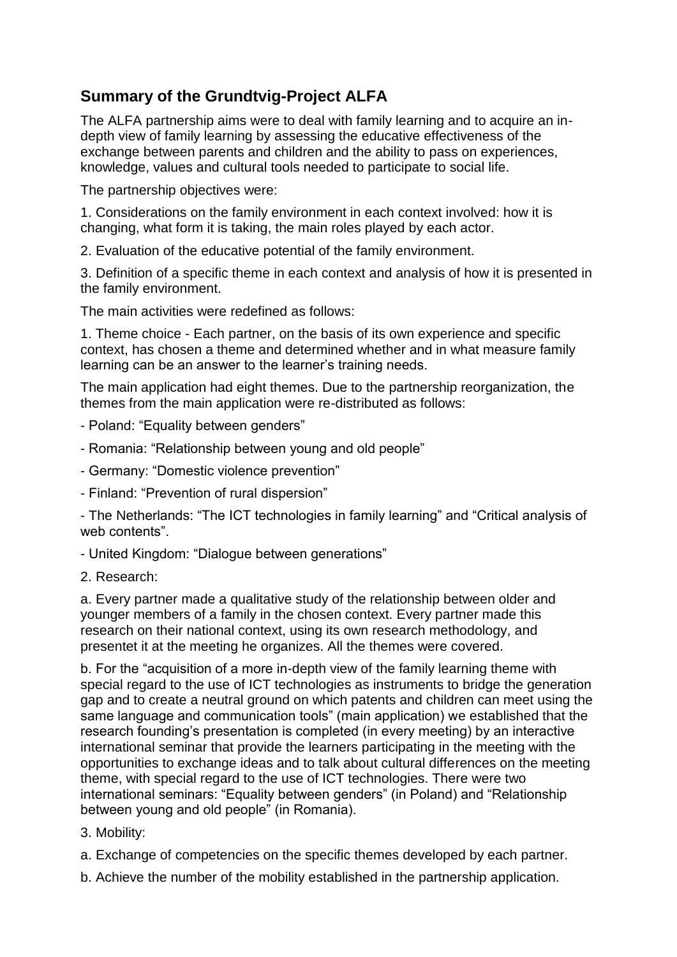## **Summary of the Grundtvig-Project ALFA**

The ALFA partnership aims were to deal with family learning and to acquire an indepth view of family learning by assessing the educative effectiveness of the exchange between parents and children and the ability to pass on experiences, knowledge, values and cultural tools needed to participate to social life.

The partnership objectives were:

1. Considerations on the family environment in each context involved: how it is changing, what form it is taking, the main roles played by each actor.

2. Evaluation of the educative potential of the family environment.

3. Definition of a specific theme in each context and analysis of how it is presented in the family environment.

The main activities were redefined as follows:

1. Theme choice - Each partner, on the basis of its own experience and specific context, has chosen a theme and determined whether and in what measure family learning can be an answer to the learner's training needs.

The main application had eight themes. Due to the partnership reorganization, the themes from the main application were re-distributed as follows:

- Poland: "Equality between genders"
- Romania: "Relationship between young and old people"
- Germany: "Domestic violence prevention"
- Finland: "Prevention of rural dispersion"

- The Netherlands: "The ICT technologies in family learning" and "Critical analysis of web contents"

- United Kingdom: "Dialogue between generations"
- 2. Research:

a. Every partner made a qualitative study of the relationship between older and younger members of a family in the chosen context. Every partner made this research on their national context, using its own research methodology, and presentet it at the meeting he organizes. All the themes were covered.

b. For the "acquisition of a more in-depth view of the family learning theme with special regard to the use of ICT technologies as instruments to bridge the generation gap and to create a neutral ground on which patents and children can meet using the same language and communication tools" (main application) we established that the research founding's presentation is completed (in every meeting) by an interactive international seminar that provide the learners participating in the meeting with the opportunities to exchange ideas and to talk about cultural differences on the meeting theme, with special regard to the use of ICT technologies. There were two international seminars: "Equality between genders" (in Poland) and "Relationship between young and old people" (in Romania).

- 3. Mobility:
- a. Exchange of competencies on the specific themes developed by each partner.
- b. Achieve the number of the mobility established in the partnership application.